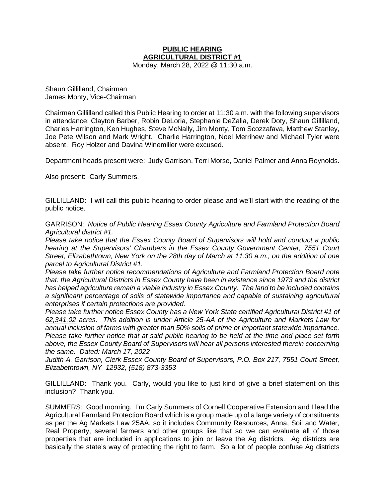## **PUBLIC HEARING AGRICULTURAL DISTRICT #1**

Monday, March 28, 2022 @ 11:30 a.m.

Shaun Gillilland, Chairman James Monty, Vice-Chairman

Chairman Gillilland called this Public Hearing to order at 11:30 a.m. with the following supervisors in attendance: Clayton Barber, Robin DeLoria, Stephanie DeZalia, Derek Doty, Shaun Gillilland, Charles Harrington, Ken Hughes, Steve McNally, Jim Monty, Tom Scozzafava, Matthew Stanley, Joe Pete Wilson and Mark Wright. Charlie Harrington, Noel Merrihew and Michael Tyler were absent. Roy Holzer and Davina Winemiller were excused.

Department heads present were: Judy Garrison, Terri Morse, Daniel Palmer and Anna Reynolds.

Also present: Carly Summers.

GILLILLAND: I will call this public hearing to order please and we'll start with the reading of the public notice.

GARRISON: *Notice of Public Hearing Essex County Agriculture and Farmland Protection Board Agricultural district #1.*

*Please take notice that the Essex County Board of Supervisors will hold and conduct a public hearing at the Supervisors' Chambers in the Essex County Government Center, 7551 Court Street, Elizabethtown, New York on the 28th day of March at 11:30 a.m., on the addition of one parcel to Agricultural District #1.*

*Please take further notice recommendations of Agriculture and Farmland Protection Board note that: the Agricultural Districts in Essex County have been in existence since 1973 and the district has helped agriculture remain a viable industry in Essex County. The land to be included contains a significant percentage of soils of statewide importance and capable of sustaining agricultural enterprises if certain protections are provided.*

*Please take further notice Essex County has a New York State certified Agricultural District #1 of 62,341.02 acres. This addition is under Article 25-AA of the Agriculture and Markets Law for annual inclusion of farms with greater than 50% soils of prime or important statewide importance. Please take further notice that at said public hearing to be held at the time and place set forth above, the Essex County Board of Supervisors will hear all persons interested therein concerning the same. Dated: March 17, 2022*

*Judith A. Garrison, Clerk Essex County Board of Supervisors, P.O. Box 217, 7551 Court Street, Elizabethtown, NY 12932, (518) 873-3353*

GILLILLAND: Thank you. Carly, would you like to just kind of give a brief statement on this inclusion? Thank you.

SUMMERS: Good morning. I'm Carly Summers of Cornell Cooperative Extension and I lead the Agricultural Farmland Protection Board which is a group made up of a large variety of constituents as per the Ag Markets Law 25AA, so it includes Community Resources, Anna, Soil and Water, Real Property, several farmers and other groups like that so we can evaluate all of those properties that are included in applications to join or leave the Ag districts. Ag districts are basically the state's way of protecting the right to farm. So a lot of people confuse Ag districts